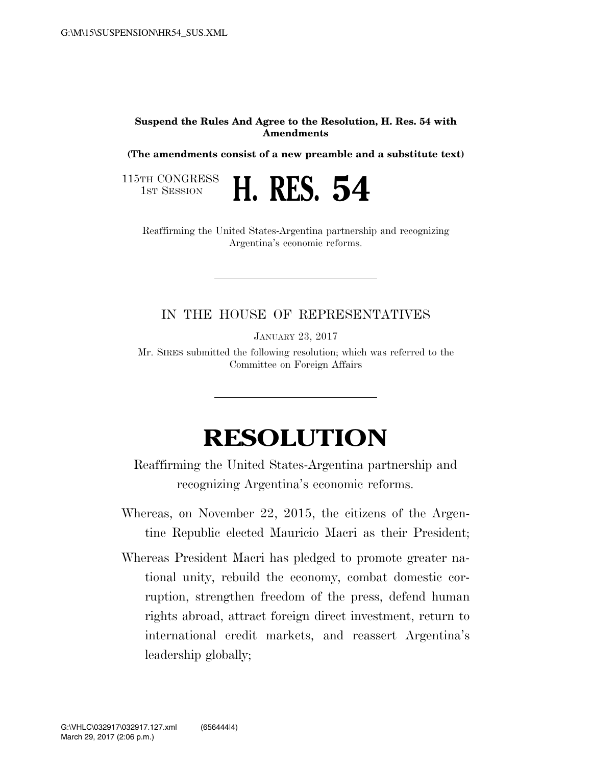## **Suspend the Rules And Agree to the Resolution, H. Res. 54 with Amendments**

**(The amendments consist of a new preamble and a substitute text)** 

115TH CONGRESS<br>1st Session



Reaffirming the United States-Argentina partnership and recognizing Argentina's economic reforms.

## IN THE HOUSE OF REPRESENTATIVES

JANUARY 23, 2017

Mr. SIRES submitted the following resolution; which was referred to the Committee on Foreign Affairs

## **RESOLUTION**

Reaffirming the United States-Argentina partnership and recognizing Argentina's economic reforms.

Whereas, on November 22, 2015, the citizens of the Argentine Republic elected Mauricio Macri as their President;

Whereas President Macri has pledged to promote greater national unity, rebuild the economy, combat domestic corruption, strengthen freedom of the press, defend human rights abroad, attract foreign direct investment, return to international credit markets, and reassert Argentina's leadership globally;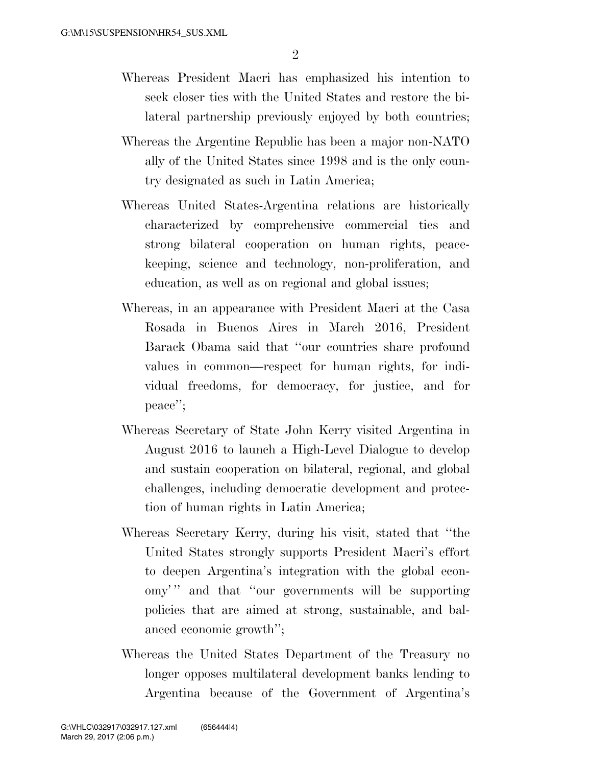- Whereas President Macri has emphasized his intention to seek closer ties with the United States and restore the bilateral partnership previously enjoyed by both countries;
- Whereas the Argentine Republic has been a major non-NATO ally of the United States since 1998 and is the only country designated as such in Latin America;
- Whereas United States-Argentina relations are historically characterized by comprehensive commercial ties and strong bilateral cooperation on human rights, peacekeeping, science and technology, non-proliferation, and education, as well as on regional and global issues;
- Whereas, in an appearance with President Macri at the Casa Rosada in Buenos Aires in March 2016, President Barack Obama said that ''our countries share profound values in common—respect for human rights, for individual freedoms, for democracy, for justice, and for peace'';
- Whereas Secretary of State John Kerry visited Argentina in August 2016 to launch a High-Level Dialogue to develop and sustain cooperation on bilateral, regional, and global challenges, including democratic development and protection of human rights in Latin America;
- Whereas Secretary Kerry, during his visit, stated that ''the United States strongly supports President Macri's effort to deepen Argentina's integration with the global economy' '' and that ''our governments will be supporting policies that are aimed at strong, sustainable, and balanced economic growth'';
- Whereas the United States Department of the Treasury no longer opposes multilateral development banks lending to Argentina because of the Government of Argentina's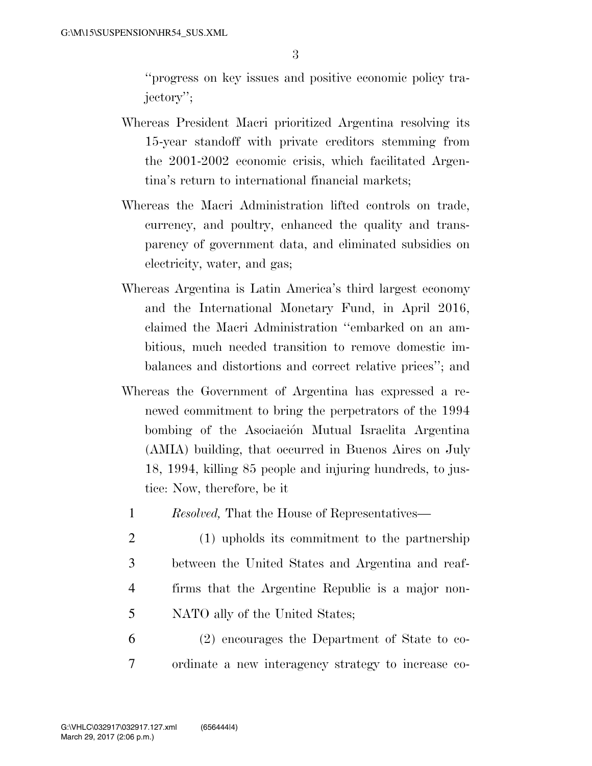''progress on key issues and positive economic policy trajectory'';

- Whereas President Macri prioritized Argentina resolving its 15-year standoff with private creditors stemming from the 2001-2002 economic crisis, which facilitated Argentina's return to international financial markets;
- Whereas the Macri Administration lifted controls on trade, currency, and poultry, enhanced the quality and transparency of government data, and eliminated subsidies on electricity, water, and gas;
- Whereas Argentina is Latin America's third largest economy and the International Monetary Fund, in April 2016, claimed the Macri Administration ''embarked on an ambitious, much needed transition to remove domestic imbalances and distortions and correct relative prices''; and
- Whereas the Government of Argentina has expressed a renewed commitment to bring the perpetrators of the 1994 bombing of the Asociación Mutual Israelita Argentina (AMIA) building, that occurred in Buenos Aires on July 18, 1994, killing 85 people and injuring hundreds, to justice: Now, therefore, be it
	- 1 *Resolved,* That the House of Representatives—
	- 2 (1) upholds its commitment to the partnership 3 between the United States and Argentina and reaf-4 firms that the Argentine Republic is a major non-5 NATO ally of the United States;
- 6 (2) encourages the Department of State to co-7 ordinate a new interagency strategy to increase co-